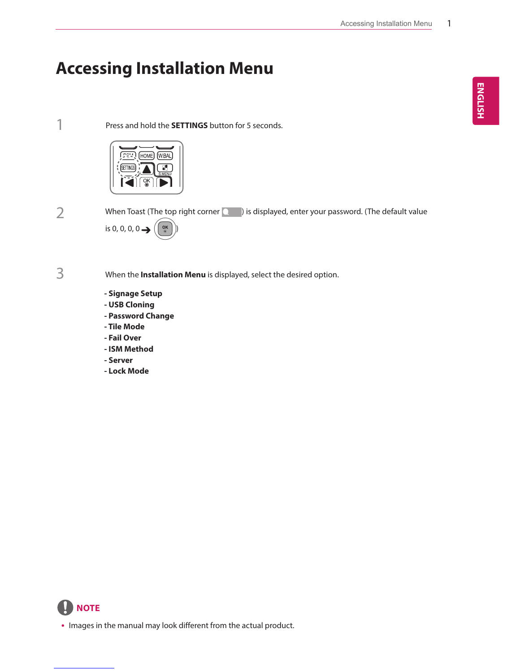# **Accessing Installation Menu**

1 Press and hold the **SETTINGS** button for 5 seconds.



When Toast (The top right corner  $\Box$ ) is displayed, enter your password. (The default value is 0, 0, 0, 0  $\rightarrow$  ( $\begin{array}{c} \circ \circ \\ \circ \circ \end{array}$ 

3

When the **Installation Menu** is displayed, select the desired option.

- **Signage Setup**
- **USB Cloning**
- **Password Change**
- **Tile Mode**
- **Fail Over**
- **ISM Method**
- **Server**
- **Lock Mode**



• Images in the manual may look different from the actual product.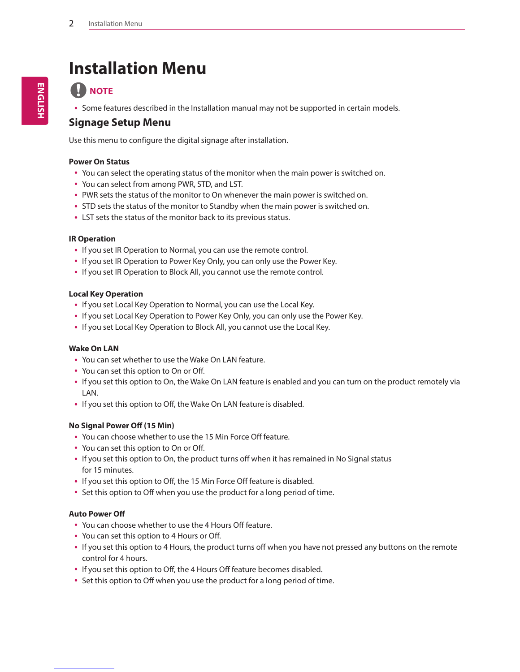# **Installation Menu**

## **A** NOTE

• Some features described in the Installation manual may not be supported in certain models.

## **Signage Setup Menu**

Use this menu to configure the digital signage after installation.

#### **Power On Status**

- You can select the operating status of the monitor when the main power is switched on.
- You can select from among PWR, STD, and LST.
- PWR sets the status of the monitor to On whenever the main power is switched on.
- STD sets the status of the monitor to Standby when the main power is switched on.
- LST sets the status of the monitor back to its previous status.

#### **IR Operation**

- If you set IR Operation to Normal, you can use the remote control.
- If you set IR Operation to Power Key Only, you can only use the Power Key.
- If you set IR Operation to Block All, you cannot use the remote control.

#### **Local Key Operation**

- If you set Local Key Operation to Normal, you can use the Local Key.
- If you set Local Key Operation to Power Key Only, you can only use the Power Key.
- If you set Local Key Operation to Block All, you cannot use the Local Key.

#### **Wake On LAN**

- You can set whether to use the Wake On LAN feature.
- You can set this option to On or Off.
- If you set this option to On, the Wake On LAN feature is enabled and you can turn on the product remotely via LAN.
- If you set this option to Off, the Wake On LAN feature is disabled.

#### **No Signal Power Off (15 Min)**

- You can choose whether to use the 15 Min Force Off feature.
- You can set this option to On or Off.
- If you set this option to On, the product turns off when it has remained in No Signal status for 15 minutes.
- If you set this option to Off, the 15 Min Force Off feature is disabled.
- Set this option to Off when you use the product for a long period of time.

#### **Auto Power Off**

- You can choose whether to use the 4 Hours Off feature.
- You can set this option to 4 Hours or Off.
- y If you set this option to 4 Hours, the product turns off when you have not pressed any buttons on the remote control for 4 hours.
- If you set this option to Off, the 4 Hours Off feature becomes disabled.
- Set this option to Off when you use the product for a long period of time.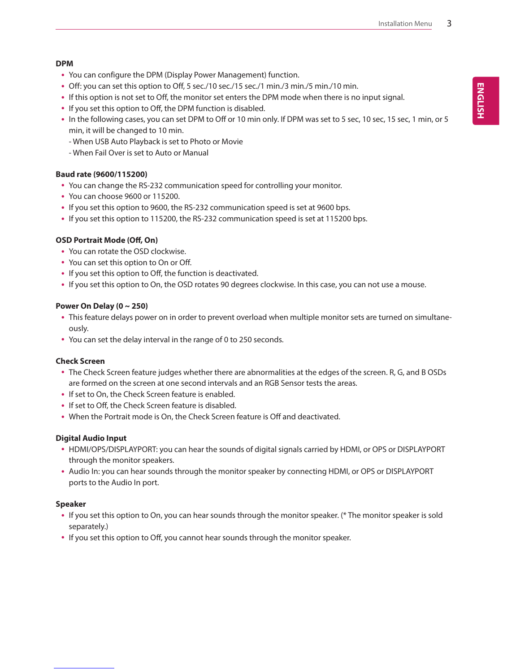#### **DPM**

- You can configure the DPM (Display Power Management) function.
- Off: you can set this option to Off, 5 sec./10 sec./15 sec./1 min./3 min./5 min./10 min.
- If this option is not set to Off, the monitor set enters the DPM mode when there is no input signal.
- If you set this option to Off, the DPM function is disabled.
- In the following cases, you can set DPM to Off or 10 min only. If DPM was set to 5 sec, 10 sec, 15 sec, 1 min, or 5 min, it will be changed to 10 min.
	- When USB Auto Playback is set to Photo or Movie
	- When Fail Over is set to Auto or Manual

#### **Baud rate (9600/115200)**

- You can change the RS-232 communication speed for controlling your monitor.
- You can choose 9600 or 115200.
- If you set this option to 9600, the RS-232 communication speed is set at 9600 bps.
- If you set this option to 115200, the RS-232 communication speed is set at 115200 bps.

#### **OSD Portrait Mode (Off, On)**

- You can rotate the OSD clockwise.
- You can set this option to On or Off.
- If you set this option to Off, the function is deactivated.
- If you set this option to On, the OSD rotates 90 degrees clockwise. In this case, you can not use a mouse.

#### **Power On Delay (0 ~ 250)**

- This feature delays power on in order to prevent overload when multiple monitor sets are turned on simultaneously.
- You can set the delay interval in the range of 0 to 250 seconds.

#### **Check Screen**

- The Check Screen feature judges whether there are abnormalities at the edges of the screen. R, G, and B OSDs are formed on the screen at one second intervals and an RGB Sensor tests the areas.
- If set to On, the Check Screen feature is enabled.
- If set to Off, the Check Screen feature is disabled.
- When the Portrait mode is On, the Check Screen feature is Off and deactivated.

#### **Digital Audio Input**

- HDMI/OPS/DISPLAYPORT: you can hear the sounds of digital signals carried by HDMI, or OPS or DISPLAYPORT through the monitor speakers.
- Audio In: you can hear sounds through the monitor speaker by connecting HDMI, or OPS or DISPLAYPORT ports to the Audio In port.

#### **Speaker**

- If you set this option to On, you can hear sounds through the monitor speaker. (\* The monitor speaker is sold separately.)
- If you set this option to Off, you cannot hear sounds through the monitor speaker.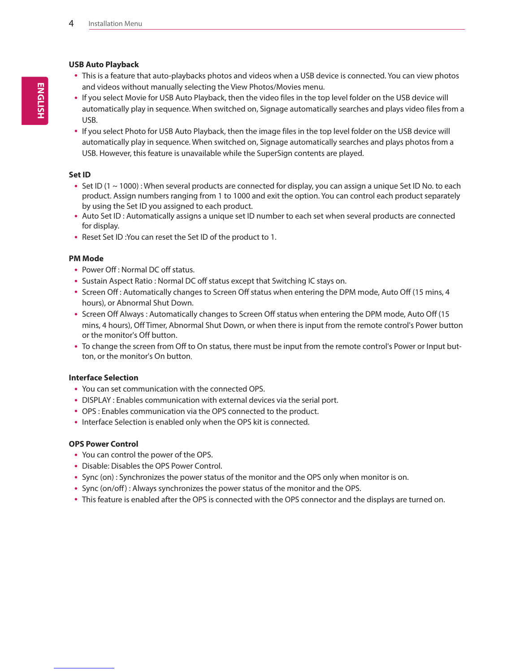#### **USB Auto Playback**

- This is a feature that auto-playbacks photos and videos when a USB device is connected. You can view photos and videos without manually selecting the View Photos/Movies menu.
- y If you select Movie for USB Auto Playback, then the video files in the top level folder on the USB device will automatically play in sequence. When switched on, Signage automatically searches and plays video files from a USB.
- If you select Photo for USB Auto Playback, then the image files in the top level folder on the USB device will automatically play in sequence. When switched on, Signage automatically searches and plays photos from a USB. However, this feature is unavailable while the SuperSign contents are played.

#### **Set ID**

- Set ID (1  $\sim$  1000) : When several products are connected for display, you can assign a unique Set ID No. to each product. Assign numbers ranging from 1 to 1000 and exit the option. You can control each product separately by using the Set ID you assigned to each product.
- Auto Set ID : Automatically assigns a unique set ID number to each set when several products are connected for display.
- Reset Set ID : You can reset the Set ID of the product to 1.

#### **PM Mode**

- Power Off : Normal DC off status.
- Sustain Aspect Ratio: Normal DC off status except that Switching IC stays on.
- Screen Off : Automatically changes to Screen Off status when entering the DPM mode, Auto Off (15 mins, 4 hours), or Abnormal Shut Down.
- Screen Off Always : Automatically changes to Screen Off status when entering the DPM mode, Auto Off (15 mins, 4 hours), Off Timer, Abnormal Shut Down, or when there is input from the remote control's Power button or the monitor's Off button.
- To change the screen from Off to On status, there must be input from the remote control's Power or Input button, or the monitor's On button.

#### **Interface Selection**

- You can set communication with the connected OPS.
- DISPLAY : Enables communication with external devices via the serial port.
- OPS : Enables communication via the OPS connected to the product.
- Interface Selection is enabled only when the OPS kit is connected.

#### **OPS Power Control**

- You can control the power of the OPS.
- Disable: Disables the OPS Power Control.
- Sync (on) : Synchronizes the power status of the monitor and the OPS only when monitor is on.
- Sync (on/off) : Always synchronizes the power status of the monitor and the OPS.
- This feature is enabled after the OPS is connected with the OPS connector and the displays are turned on.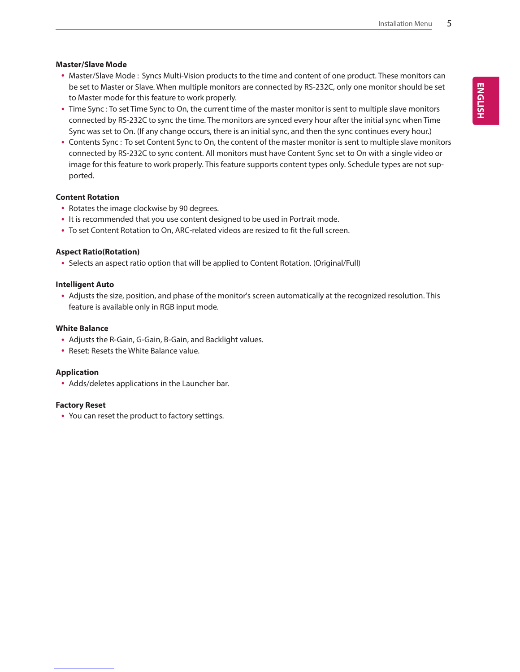#### **Master/Slave Mode**

- Master/Slave Mode : Syncs Multi-Vision products to the time and content of one product. These monitors can be set to Master or Slave. When multiple monitors are connected by RS-232C, only one monitor should be set to Master mode for this feature to work properly.
- Time Sync : To set Time Sync to On, the current time of the master monitor is sent to multiple slave monitors connected by RS-232C to sync the time. The monitors are synced every hour after the initial sync when Time Sync was set to On. (If any change occurs, there is an initial sync, and then the sync continues every hour.)
- Contents Sync : To set Content Sync to On, the content of the master monitor is sent to multiple slave monitors connected by RS-232C to sync content. All monitors must have Content Sync set to On with a single video or image for this feature to work properly. This feature supports content types only. Schedule types are not supported.

#### **Content Rotation**

- Rotates the image clockwise by 90 degrees.
- It is recommended that you use content designed to be used in Portrait mode.
- To set Content Rotation to On, ARC-related videos are resized to fit the full screen.

#### **Aspect Ratio(Rotation)**

• Selects an aspect ratio option that will be applied to Content Rotation. (Original/Full)

#### **Intelligent Auto**

• Adjusts the size, position, and phase of the monitor's screen automatically at the recognized resolution. This feature is available only in RGB input mode.

#### **White Balance**

- Adjusts the R-Gain, G-Gain, B-Gain, and Backlight values.
- Reset: Resets the White Balance value.

#### **Application**

• Adds/deletes applications in the Launcher bar.

#### **Factory Reset**

• You can reset the product to factory settings.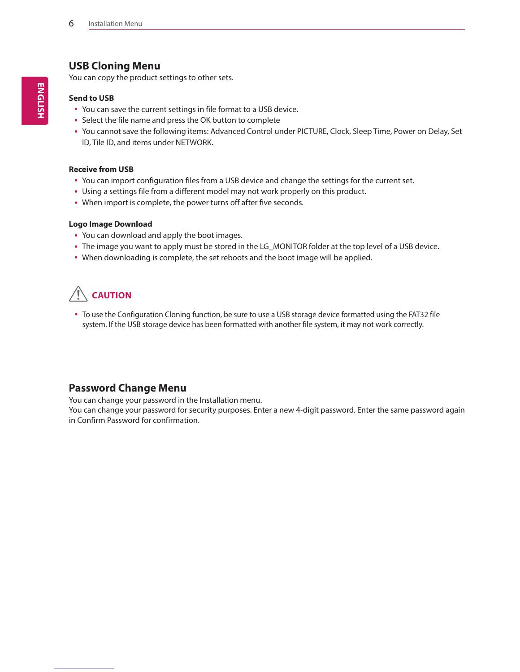## **USB Cloning Menu**

You can copy the product settings to other sets.

#### **Send to USB**

- You can save the current settings in file format to a USB device.
- Select the file name and press the OK button to complete
- You cannot save the following items: Advanced Control under PICTURE, Clock, Sleep Time, Power on Delay, Set ID, Tile ID, and items under NETWORK.

#### **Receive from USB**

- You can import configuration files from a USB device and change the settings for the current set.
- Using a settings file from a different model may not work properly on this product.
- When import is complete, the power turns off after five seconds.

#### **Logo Image Download**

- You can download and apply the boot images.
- The image you want to apply must be stored in the LG\_MONITOR folder at the top level of a USB device.
- When downloading is complete, the set reboots and the boot image will be applied.

## **CAUTION**

• To use the Configuration Cloning function, be sure to use a USB storage device formatted using the FAT32 file system. If the USB storage device has been formatted with another file system, it may not work correctly.

## **Password Change Menu**

You can change your password in the Installation menu.

You can change your password for security purposes. Enter a new 4-digit password. Enter the same password again in Confirm Password for confirmation.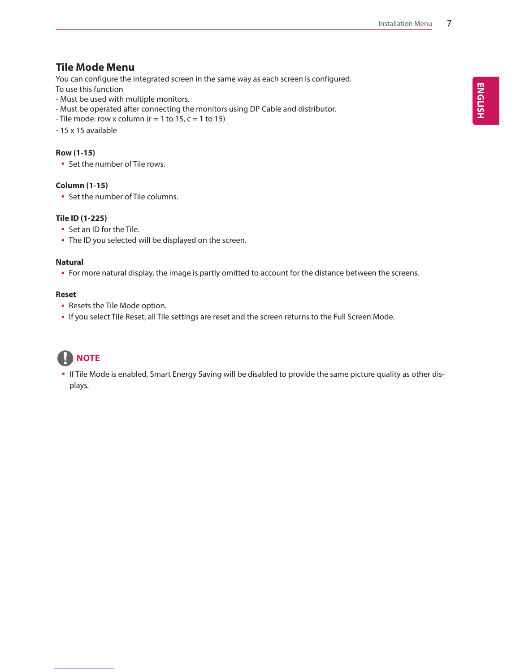## **Tile Mode Menu**

You can configure the integrated screen in the same way as each screen is configured. To use this function

- Must be used with multiple monitors.
- Must be operated after connecting the monitors using DP Cable and distributor.
- Tile mode: row x column ( $r = 1$  to 15,  $c = 1$  to 15)
- 15 x 15 available

#### **Row (1-15)**

• Set the number of Tile rows.

#### **Column (1-15)**

• Set the number of Tile columns.

#### **Tile ID (1-225)**

- Set an ID for the Tile.
- The ID you selected will be displayed on the screen.

#### **Natural**

• For more natural display, the image is partly omitted to account for the distance between the screens.

#### **Reset**

- Resets the Tile Mode option.
- If you select Tile Reset, all Tile settings are reset and the screen returns to the Full Screen Mode.

## **NOTE**

• If Tile Mode is enabled, Smart Energy Saving will be disabled to provide the same picture quality as other displays.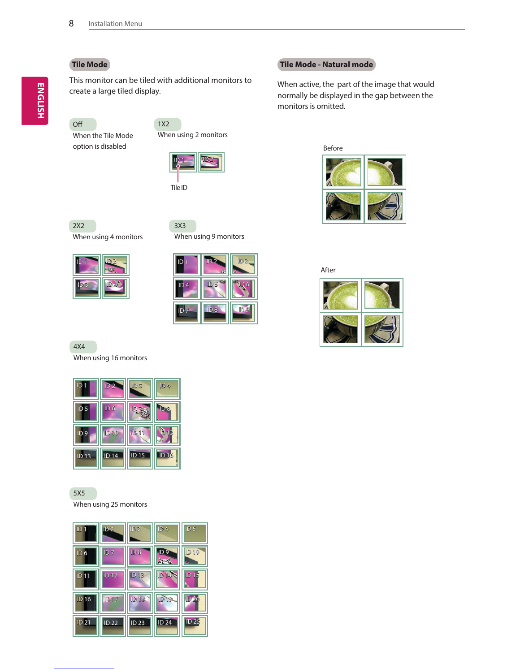### **Tile Mode**

This monitor can be tiled with additional monitors to create a large tiled display.

1X2

### Off When the Tile Mode

option is disabled



When using 2 monitors

Tile ID



When using 4 monitors

| $ID$ 1 | ID2            |
|--------|----------------|
| 1D3    | $\mathbb{Z}_3$ |

3X3 When using 9 monitors

## ID 1 ID 2  $ID<sub>5</sub>$ ID 3 ID 6 ID 7 **||| I**D 8 ||| || **I**D 9

#### 4X4

When using 16 monitors



5X5 When using 25 monitors



#### **Tile Mode - Natural mode**

When active, the part of the image that would normally be displayed in the gap between the monitors is omitted.





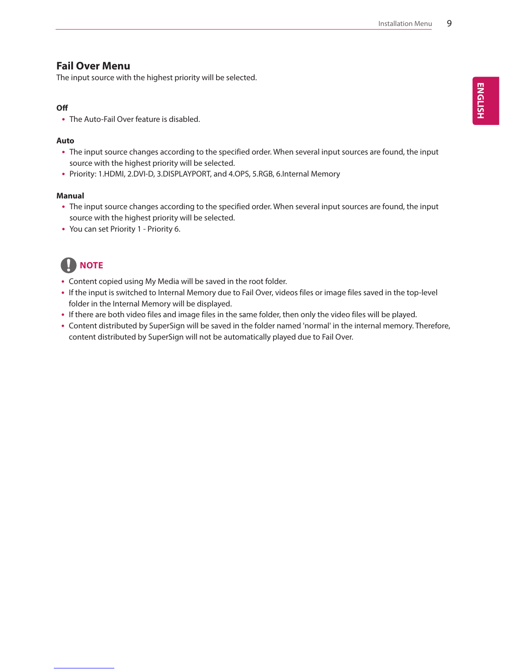### **Fail Over Menu**

The input source with the highest priority will be selected.

#### **Off**

• The Auto-Fail Over feature is disabled.

#### **Auto**

- The input source changes according to the specified order. When several input sources are found, the input source with the highest priority will be selected.
- Priority: 1.HDMI, 2.DVI-D, 3.DISPLAYPORT, and 4.OPS, 5.RGB, 6.Internal Memory

#### **Manual**

- The input source changes according to the specified order. When several input sources are found, the input source with the highest priority will be selected.
- You can set Priority 1 Priority 6.

## **NOTE**

- Content copied using My Media will be saved in the root folder.
- y If the input is switched to Internal Memory due to Fail Over, videos files or image files saved in the top-level folder in the Internal Memory will be displayed.
- y If there are both video files and image files in the same folder, then only the video files will be played.
- Content distributed by SuperSign will be saved in the folder named 'normal' in the internal memory. Therefore, content distributed by SuperSign will not be automatically played due to Fail Over.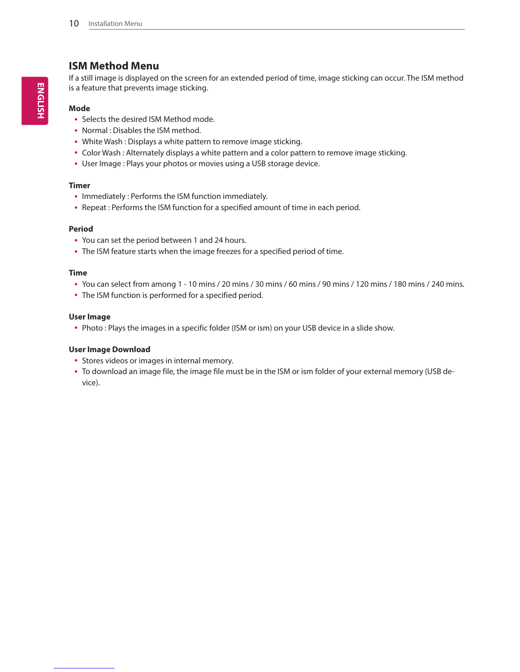## **ISM Method Menu**

If a still image is displayed on the screen for an extended period of time, image sticking can occur. The ISM method is a feature that prevents image sticking.

#### **Mode**

- Selects the desired ISM Method mode.
- Normal : Disables the ISM method.
- White Wash : Displays a white pattern to remove image sticking.
- Color Wash : Alternately displays a white pattern and a color pattern to remove image sticking.
- User Image : Plays your photos or movies using a USB storage device.

#### **Timer**

- Immediately : Performs the ISM function immediately.
- Repeat : Performs the ISM function for a specified amount of time in each period.

#### **Period**

- You can set the period between 1 and 24 hours.
- The ISM feature starts when the image freezes for a specified period of time.

#### **Time**

- y You can select from among 1 10 mins / 20 mins / 30 mins / 60 mins / 90 mins / 120 mins / 180 mins / 240 mins.
- The ISM function is performed for a specified period.

#### **User Image**

• Photo : Plays the images in a specific folder (ISM or ism) on your USB device in a slide show.

#### **User Image Download**

- Stores videos or images in internal memory.
- To download an image file, the image file must be in the ISM or ism folder of your external memory (USB device).